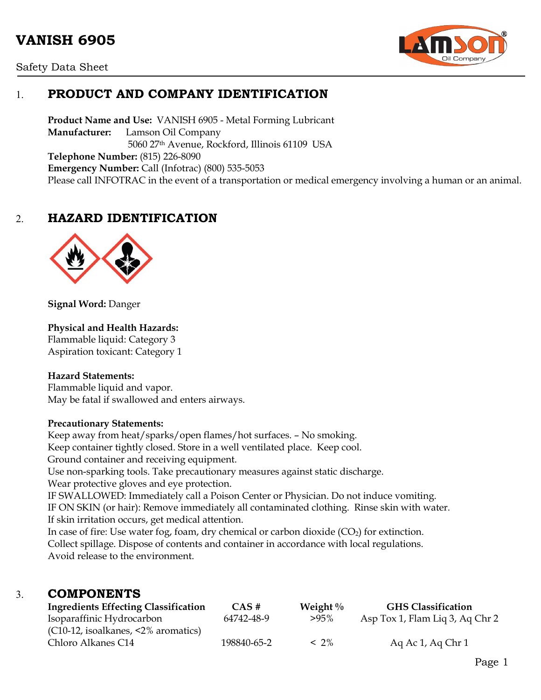# **VANISH 6905**





# 1. **PRODUCT AND COMPANY IDENTIFICATION**

**Product Name and Use:** VANISH 6905 - Metal Forming Lubricant **Manufacturer:** Lamson Oil Company 5060 27th Avenue, Rockford, Illinois 61109 USA **Telephone Number:** (815) 226-8090 **Emergency Number:** Call (Infotrac) (800) 535-5053 Please call INFOTRAC in the event of a transportation or medical emergency involving a human or an animal.

# 2. **HAZARD IDENTIFICATION**



**Signal Word:** Danger

## **Physical and Health Hazards:**

Flammable liquid: Category 3 Aspiration toxicant: Category 1

#### **Hazard Statements:**

Flammable liquid and vapor. May be fatal if swallowed and enters airways.

#### **Precautionary Statements:**

Keep away from heat/sparks/open flames/hot surfaces. – No smoking. Keep container tightly closed. Store in a well ventilated place. Keep cool. Ground container and receiving equipment. Use non-sparking tools. Take precautionary measures against static discharge. Wear protective gloves and eye protection. IF SWALLOWED: Immediately call a Poison Center or Physician. Do not induce vomiting. IF ON SKIN (or hair): Remove immediately all contaminated clothing. Rinse skin with water. If skin irritation occurs, get medical attention. In case of fire: Use water fog, foam, dry chemical or carbon dioxide  $(CO<sub>2</sub>)$  for extinction. Collect spillage. Dispose of contents and container in accordance with local regulations. Avoid release to the environment.

## 3. **COMPONENTS**

| <b>Ingredients Effecting Classification</b>  | $CAS \#$    | Weight $\%$ | <b>GHS Classification</b>       |
|----------------------------------------------|-------------|-------------|---------------------------------|
| Isoparaffinic Hydrocarbon                    | 64742-48-9  | $>95\%$     | Asp Tox 1, Flam Liq 3, Aq Chr 2 |
| $(C10-12,$ isoalkanes, $\leq 2\%$ aromatics) |             |             |                                 |
| Chloro Alkanes C14                           | 198840-65-2 | $< 2\%$     | Ag Ac $1$ , Ag Chr $1$          |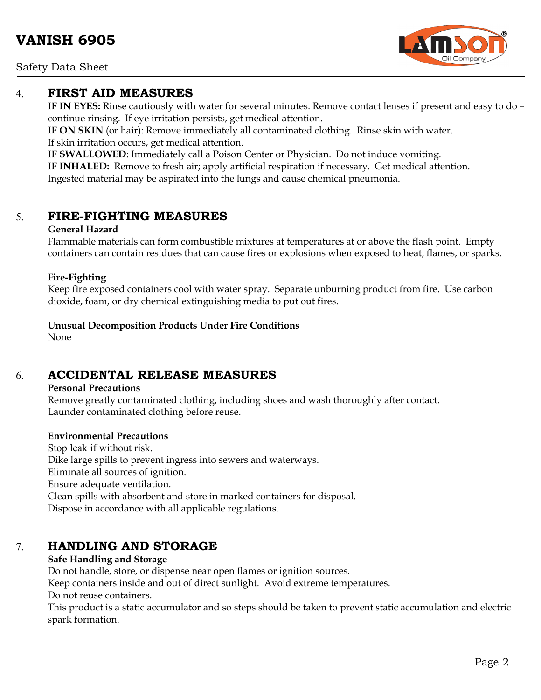Safety Data Sheet

## 4. **FIRST AID MEASURES**

**IF IN EYES:** Rinse cautiously with water for several minutes. Remove contact lenses if present and easy to do – continue rinsing. If eye irritation persists, get medical attention.

**IF ON SKIN** (or hair): Remove immediately all contaminated clothing. Rinse skin with water. If skin irritation occurs, get medical attention.

**IF SWALLOWED**: Immediately call a Poison Center or Physician. Do not induce vomiting.

**IF INHALED:** Remove to fresh air; apply artificial respiration if necessary. Get medical attention. Ingested material may be aspirated into the lungs and cause chemical pneumonia.

# 5. **FIRE-FIGHTING MEASURES**

## **General Hazard**

Flammable materials can form combustible mixtures at temperatures at or above the flash point. Empty containers can contain residues that can cause fires or explosions when exposed to heat, flames, or sparks.

## **Fire-Fighting**

Keep fire exposed containers cool with water spray. Separate unburning product from fire. Use carbon dioxide, foam, or dry chemical extinguishing media to put out fires.

**Unusual Decomposition Products Under Fire Conditions**

None

# 6. **ACCIDENTAL RELEASE MEASURES**

## **Personal Precautions**

Remove greatly contaminated clothing, including shoes and wash thoroughly after contact. Launder contaminated clothing before reuse.

## **Environmental Precautions**

Stop leak if without risk. Dike large spills to prevent ingress into sewers and waterways. Eliminate all sources of ignition. Ensure adequate ventilation. Clean spills with absorbent and store in marked containers for disposal. Dispose in accordance with all applicable regulations.

# 7. **HANDLING AND STORAGE**

## **Safe Handling and Storage**

Do not handle, store, or dispense near open flames or ignition sources.

Keep containers inside and out of direct sunlight. Avoid extreme temperatures.

Do not reuse containers.

This product is a static accumulator and so steps should be taken to prevent static accumulation and electric spark formation.

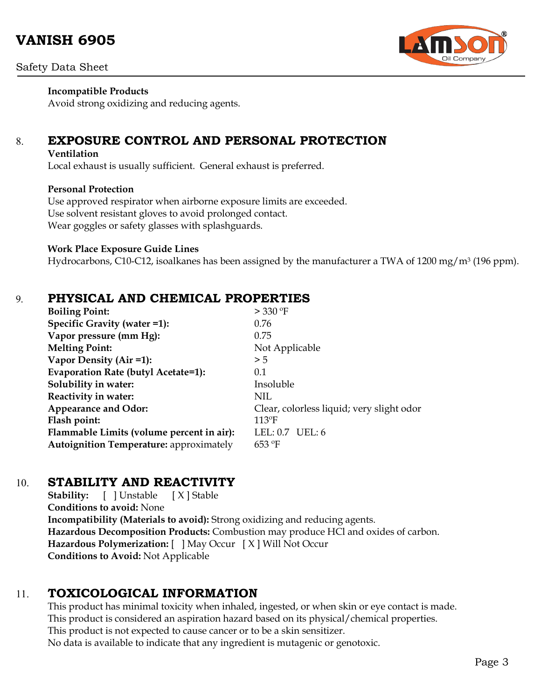# **VANISH 6905**



**Incompatible Products** Avoid strong oxidizing and reducing agents.

# 8. **EXPOSURE CONTROL AND PERSONAL PROTECTION**

#### **Ventilation**

Local exhaust is usually sufficient. General exhaust is preferred.

## **Personal Protection**

Use approved respirator when airborne exposure limits are exceeded. Use solvent resistant gloves to avoid prolonged contact. Wear goggles or safety glasses with splashguards.

### **Work Place Exposure Guide Lines**

Hydrocarbons, C10-C12, isoalkanes has been assigned by the manufacturer a TWA of 1200 mg/m<sup>3</sup> (196 ppm).

## 9. **PHYSICAL AND CHEMICAL PROPERTIES**

| $>$ 330 °F                                |  |
|-------------------------------------------|--|
| 0.76                                      |  |
| 0.75                                      |  |
| Not Applicable                            |  |
| > 5                                       |  |
| 0.1                                       |  |
| Insoluble                                 |  |
| <b>NIL</b>                                |  |
| Clear, colorless liquid; very slight odor |  |
| $113$ <sup>o</sup> F                      |  |
| LEL: $0.7$ UEL: $6$                       |  |
| 653 °F                                    |  |
|                                           |  |

# 10. **STABILITY AND REACTIVITY**

**Stability:** [ ] Unstable [ X ] Stable **Conditions to avoid:** None **Incompatibility (Materials to avoid):** Strong oxidizing and reducing agents. **Hazardous Decomposition Products:** Combustion may produce HCl and oxides of carbon. **Hazardous Polymerization:** [ ] May Occur [ X ] Will Not Occur **Conditions to Avoid:** Not Applicable

# 11. **TOXICOLOGICAL INFORMATION**

This product has minimal toxicity when inhaled, ingested, or when skin or eye contact is made. This product is considered an aspiration hazard based on its physical/chemical properties. This product is not expected to cause cancer or to be a skin sensitizer. No data is available to indicate that any ingredient is mutagenic or genotoxic.